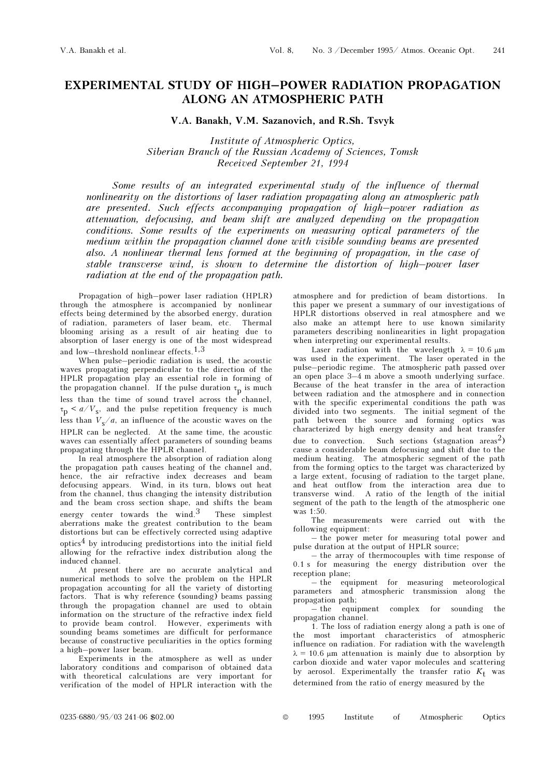## EXPERIMENTAL STUDY OF HIGH–POWER RADIATION PROPAGATION ALONG AN ATMOSPHERIC PATH

V.A. Banakh, V.M. Sazanovich, and R.Sh. Tsvyk

Institute of Atmospheric Optics, Siberian Branch of the Russian Academy of Sciences, Tomsk Received September 21, 1994

Some results of an integrated experimental study of the influence of thermal nonlinearity on the distortions of laser radiation propagating along an atmospheric path are presented. Such effects accompanying propagation of high–power radiation as attenuation, defocusing, and beam shift are analyzed depending on the propagation conditions. Some results of the experiments on measuring optical parameters of the medium within the propagation channel done with visible sounding beams are presented also. A nonlinear thermal lens formed at the beginning of propagation, in the case of stable transverse wind, is shown to determine the distortion of high–power laser radiation at the end of the propagation path.

Propagation of high–power laser radiation (HPLR) through the atmosphere is accompanied by nonlinear effects being determined by the absorbed energy, duration of radiation, parameters of laser beam, etc. Thermal blooming arising as a result of air heating due to absorption of laser energy is one of the most widespread and low–threshold nonlinear effects.1,3

When pulse–periodic radiation is used, the acoustic waves propagating perpendicular to the direction of the HPLR propagation play an essential role in forming of the propagation channel. If the pulse duration  $\tau_{\text{p}}$  is much less than the time of sound travel across the channel,  $\tau_p$  <  $a/V_s$ , and the pulse repetition frequency is much less than  $V_s/a$ , an influence of the acoustic waves on the HPLR can be neglected. At the same time, the acoustic waves can essentially affect parameters of sounding beams propagating through the HPLR channel.

In real atmosphere the absorption of radiation along the propagation path causes heating of the channel and, hence, the air refractive index decreases and beam defocusing appears. Wind, in its turn, blows out heat from the channel, thus changing the intensity distribution and the beam cross section shape, and shifts the beam energy center towards the wind.3 These simplest aberrations make the greatest contribution to the beam distortions but can be effectively corrected using adaptive optics4 by introducing predistortions into the initial field allowing for the refractive index distribution along the induced channel.

At present there are no accurate analytical and numerical methods to solve the problem on the HPLR propagation accounting for all the variety of distorting factors. That is why reference (sounding) beams passing through the propagation channel are used to obtain information on the structure of the refractive index field to provide beam control. However, experiments with sounding beams sometimes are difficult for performance because of constructive peculiarities in the optics forming a high–power laser beam.

Experiments in the atmosphere as well as under laboratory conditions and comparison of obtained data with theoretical calculations are very important for verification of the model of HPLR interaction with the

atmosphere and for prediction of beam distortions. In this paper we present a summary of our investigations of HPLR distortions observed in real atmosphere and we also make an attempt here to use known similarity parameters describing nonlinearities in light propagation when interpreting our experimental results.

Laser radiation with the wavelength  $\lambda = 10.6$  μm was used in the experiment. The laser operated in the pulse–periodic regime. The atmospheric path passed over an open place 3–4 m above a smooth underlying surface. Because of the heat transfer in the area of interaction between radiation and the atmosphere and in connection with the specific experimental conditions the path was divided into two segments. The initial segment of the path between the source and forming optics was characterized by high energy density and heat transfer due to convection. Such sections (stagnation areas<sup>2</sup>) cause a considerable beam defocusing and shift due to the medium heating. The atmospheric segment of the path from the forming optics to the target was characterized by a large extent, focusing of radiation to the target plane, and heat outflow from the interaction area due to transverse wind. A ratio of the length of the initial segment of the path to the length of the atmospheric one was 1:50.

The measurements were carried out with the following equipment:

– the power meter for measuring total power and pulse duration at the output of HPLR source;

– the array of thermocouples with time response of 0.1 s for measuring the energy distribution over the reception plane;

– the equipment for measuring meteorological parameters and atmospheric transmission along the propagation path;

– the equipment complex for sounding the propagation channel.

1. The loss of radiation energy along a path is one of the most important characteristics of atmospheric influence on radiation. For radiation with the wavelength  $\lambda = 10.6$  μm attenuation is mainly due to absorption by carbon dioxide and water vapor molecules and scattering by aerosol. Experimentally the transfer ratio  $K_t$  was determined from the ratio of energy measured by the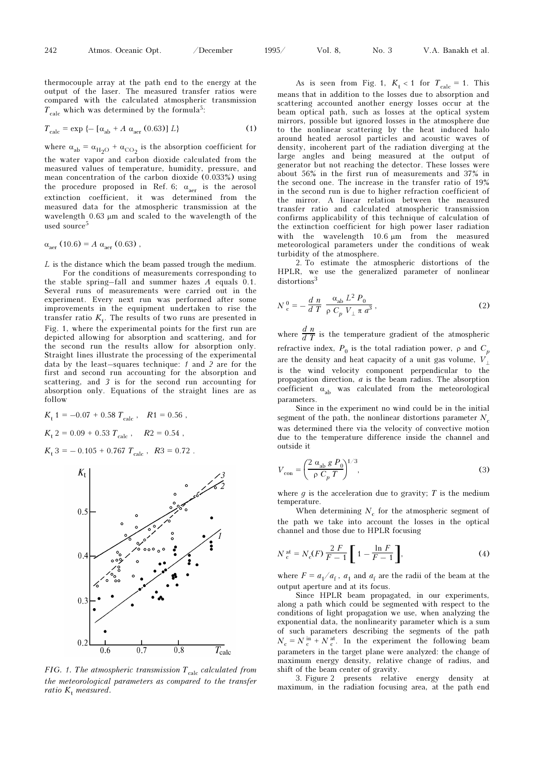thermocouple array at the path end to the energy at the output of the laser. The measured transfer ratios were compared with the calculated atmospheric transmission  $T_{\text{calc}}$  which was determined by the formula<sup>5</sup>:

$$
T_{\text{calc}} = \exp \left\{ -\left[ \alpha_{\text{ab}} + A \alpha_{\text{aer}} \left( 0.63 \right) \right] L \right\} \tag{1}
$$

where  $\alpha_{ab} = \alpha_{H_2O} + \alpha_{CO_2}$  is the absorption coefficient for the water vapor and carbon dioxide calculated from the measured values of temperature, humidity, pressure, and mean concentration of the carbon dioxide (0.033%) using the procedure proposed in Ref. 6;  $\alpha_{\text{aer}}$  is the aerosol extinction coefficient, it was determined from the measured data for the atmospheric transmission at the wavelength 0.63 μm and scaled to the wavelength of the used source<sup>5</sup>

$$
\alpha_{\text{aer}} (10.6) = A \alpha_{\text{aer}} (0.63) ,
$$

L is the distance which the beam passed trough the medium. For the conditions of measurements corresponding to

the stable spring–fall and summer hazes A equals 0.1. Several runs of measurements were carried out in the experiment. Every next run was performed after some improvements in the equipment undertaken to rise the transfer ratio  $K_{t}$ . The results of two runs are presented in Fig. 1, where the experimental points for the first run are depicted allowing for absorption and scattering, and for the second run the results allow for absorption only. Straight lines illustrate the processing of the experimental data by the least–squares technique: 1 and 2 are for the first and second run accounting for the absorption and scattering, and 3 is for the second run accounting for absorption only. Equations of the straight lines are as follow

$$
K_{\rm t} 1 = -0.07 + 0.58 T_{\rm calc} , \quad R1 = 0.56 ,
$$
  

$$
K_{\rm t} 2 = 0.09 + 0.53 T_{\rm calc} , \quad R2 = 0.54 ,
$$

 $K_t$  3 = -0.105 + 0.767  $T_{calc}$ ,  $R3 = 0.72$ .



FIG. 1. The atmospheric transmission  $T_{calc}$  calculated from the meteorological parameters as compared to the transfer ratio K<sub>t</sub> measured.

As is seen from Fig. 1,  $K_t < 1$  for  $T_{calc} = 1$ . This means that in addition to the losses due to absorption and scattering accounted another energy losses occur at the beam optical path, such as losses at the optical system mirrors, possible but ignored losses in the atmosphere due to the nonlinear scattering by the heat induced halo around heated aerosol particles and acoustic waves of density, incoherent part of the radiation diverging at the large angles and being measured at the output of generator but not reaching the detector. These losses were about 56% in the first run of measurements and 37% in the second one. The increase in the transfer ratio of 19% in the second run is due to higher refraction coefficient of the mirror. A linear relation between the measured transfer ratio and calculated atmospheric transmission confirms applicability of this technique of calculation of the extinction coefficient for high power laser radiation with the wavelength 10.6 μm from the measured meteorological parameters under the conditions of weak turbidity of the atmosphere.

2. To estimate the atmospheric distortions of the HPLR, we use the generalized parameter of nonlinear distortions<sup>3</sup>

$$
N_c^0 = -\frac{d}{d} \frac{n}{T} \frac{\alpha_{ab} L^2 P_0}{\rho C_p V_{\perp} \pi a^3},
$$
 (2)

where  $\frac{d n}{d T}$  is the temperature gradient of the atmospheric refractive index,  $P_0$  is the total radiation power,  $\rho$  and  $C_p$ are the density and heat capacity of a unit gas volume,  $V_{\perp}$ is the wind velocity component perpendicular to the propagation direction, a is the beam radius. The absorption coefficient  $\alpha_{ab}$  was calculated from the meteorological parameters.

Since in the experiment no wind could be in the initial segment of the path, the nonlinear distortions parameter  $N_c$ was determined there via the velocity of convective motion due to the temperature difference inside the channel and outside it

$$
V_{\text{con}} = \left(\frac{2\ \alpha_{\text{ab}}\ g\ P_0}{\rho\ C_p\ T}\right)^{1/3},\tag{3}
$$

where  $g$  is the acceleration due to gravity;  $T$  is the medium temperature.

When determining  $N_c$  for the atmospheric segment of the path we take into account the losses in the optical channel and those due to HPLR focusing

$$
N_c^{at} = N_c(F) \frac{2 F}{F - 1} \left[ 1 - \frac{\ln F}{F - 1} \right],
$$
 (4)

where  $F = a_1/a_f$ ,  $a_1$  and  $a_f$  are the radii of the beam at the output aperture and at its focus.

Since HPLR beam propagated, in our experiments, along a path which could be segmented with respect to the conditions of light propagation we use, when analyzing the exponential data, the nonlinearity parameter which is a sum of such parameters describing the segments of the path  $N_c = N_c^{\text{in}} + N_c^{\text{at}}$ . In the experiment the following beam parameters in the target plane were analyzed: the change of maximum energy density, relative change of radius, and shift of the beam center of gravity.

3. Figure 2 presents relative energy density at maximum, in the radiation focusing area, at the path end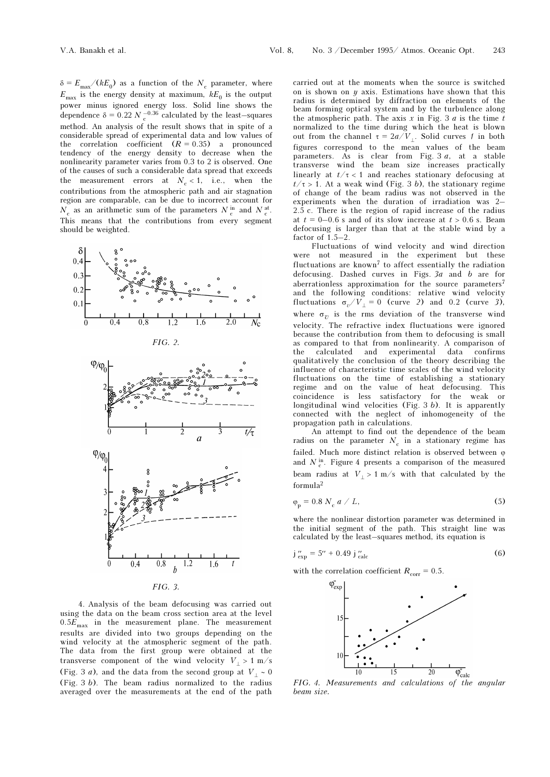$\delta = E_{\text{max}} / (kE_0)$  as a function of the  $N_c$  parameter, where  $E_{\text{max}}$  is the energy density at maximum,  $kE_0$  is the output power minus ignored energy loss. Solid line shows the dependence  $\delta = 0.22 N_c^{-0.36}$  calculated by the least–squares method. An analysis of the result shows that in spite of a considerable spread of experimental data and low values of the correlation coefficient  $(R = 0.35)$  a pronounced tendency of the energy density to decrease when the nonlinearity parameter varies from 0.3 to 2 is observed. One of the causes of such a considerable data spread that exceeds the measurement errors at  $N_c < 1$ , i.e., when the contributions from the atmospheric path and air stagnation region are comparable, can be due to incorrect account for  $N_c$  as an arithmetic sum of the parameters  $N_c^{\text{in}}$  and  $N_c^{\text{at}}$ . This means that the contributions from every segment should be weighted.







4. Analysis of the beam defocusing was carried out using the data on the beam cross section area at the level  $0.5E_{\text{max}}$  in the measurement plane. The measurement results are divided into two groups depending on the wind velocity at the atmospheric segment of the path. The data from the first group were obtained at the transverse component of the wind velocity  $V_+ > 1$  m/s (Fig. 3 *a*), and the data from the second group at  $V_+ \sim 0$ (Fig. 3 b). The beam radius normalized to the radius averaged over the measurements at the end of the path carried out at the moments when the source is switched on is shown on  $y$  axis. Estimations have shown that this radius is determined by diffraction on elements of the beam forming optical system and by the turbulence along the atmospheric path. The axis  $x$  in Fig. 3  $a$  is the time  $t$ normalized to the time during which the heat is blown out from the channel  $τ = 2a/V$ . Solid curves 1 in both figures correspond to the mean values of the beam parameters. As is clear from Fig. 3 a, at a stable transverse wind the beam size increases practically linearly at  $t/\tau < 1$  and reaches stationary defocusing at  $t/\tau > 1$ . At a weak wind (Fig. 3 b), the stationary regime of change of the beam radius was not observed in the experiments when the duration of irradiation was 2– 2.5 c. There is the region of rapid increase of the radius at  $t = 0-0.6$  s and of its slow increase at  $t > 0.6$  s. Beam defocusing is larger than that at the stable wind by a factor of 1.5–2.

Fluctuations of wind velocity and wind direction were not measured in the experiment but these fluctuations are known<sup>7</sup> to affect essentially the radiation defocusing. Dashed curves in Figs. 3a and b are for aberrationless approximation for the source parameters<sup>7</sup> and the following conditions: relative wind velocity fluctuations  $\sigma_v/V_{\perp} = 0$  (curve 2) and 0.2 (curve 3), where  $\sigma_v$  is the rms deviation of the transverse wind velocity. The refractive index fluctuations were ignored because the contribution from them to defocusing is small as compared to that from nonlinearity. A comparison of the calculated and experimental data confirms qualitatively the conclusion of the theory describing the influence of characteristic time scales of the wind velocity fluctuations on the time of establishing a stationary regime and on the value of heat defocusing. This coincidence is less satisfactory for the weak or longitudinal wind velocities (Fig.  $3 b$ ). It is apparently connected with the neglect of inhomogeneity of the propagation path in calculations.

An attempt to find out the dependence of the beam radius on the parameter  $N_c$  in a stationary regime has failed. Much more distinct relation is observed between  $\varphi$ and  $N_c^{\text{in}}$ . Figure 4 presents a comparison of the measured beam radius at  $V_+ > 1$  m/s with that calculated by the formula<sup>2</sup>

$$
\varphi_{\rm p} = 0.8 \ N_{\rm c} \ a \ / \ L, \tag{5}
$$

where the nonlinear distortion parameter was determined in the initial segment of the path. This straight line was calculated by the least–squares method, its equation is

$$
j''_{\rm exp} = 5'' + 0.49 j''_{\rm calc}
$$
 (6)

with the correlation coefficient  $R_{corr} = 0.5$ .



FIG. 4. Measurements and calculations of the angular beam size.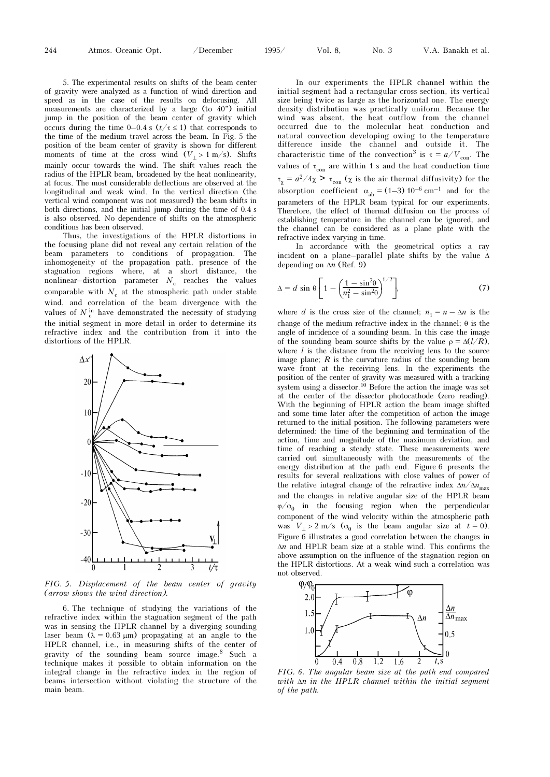5. The experimental results on shifts of the beam center of gravity were analyzed as a function of wind direction and speed as in the case of the results on defocusing. All measurements are characterized by a large (to 40") initial jump in the position of the beam center of gravity which occurs during the time 0–0.4 s  $(t/\tau \le 1)$  that corresponds to the time of the medium travel across the beam. In Fig. 5 the position of the beam center of gravity is shown for different moments of time at the cross wind  $(V_+ > 1 \text{ m/s})$ . Shifts mainly occur towards the wind. The shift values reach the radius of the HPLR beam, broadened by the heat nonlinearity, at focus. The most considerable deflections are observed at the longitudinal and weak wind. In the vertical direction (the vertical wind component was not measured) the beam shifts in both directions, and the initial jump during the time of 0.4 s is also observed. No dependence of shifts on the atmospheric conditions has been observed.

Thus, the investigations of the HPLR distortions in the focusing plane did not reveal any certain relation of the beam parameters to conditions of propagation. The inhomogeneity of the propagation path, presence of the stagnation regions where, at a short distance, the nonlinear—distortion parameter  $N_c$  reaches the values comparable with  $N_c$  at the atmospheric path under stable wind, and correlation of the beam divergence with the values of  $N_c^{\text{in}}$  have demonstrated the necessity of studying the initial segment in more detail in order to determine its refractive index and the contribution from it into the distortions of the HPLR.



FIG. 5. Displacement of the beam center of gravity (arrow shows the wind direction).

6. The technique of studying the variations of the refractive index within the stagnation segment of the path was in sensing the HPLR channel by a diverging sounding laser beam  $(\lambda = 0.63 \,\mu\text{m})$  propagating at an angle to the HPLR channel, i.e., in measuring shifts of the center of gravity of the sounding beam source image.8 Such a technique makes it possible to obtain information on the integral change in the refractive index in the region of beams intersection without violating the structure of the main beam.

In our experiments the HPLR channel within the initial segment had a rectangular cross section, its vertical size being twice as large as the horizontal one. The energy density distribution was practically uniform. Because the wind was absent, the heat outflow from the channel occurred due to the molecular heat conduction and natural convection developing owing to the temperature difference inside the channel and outside it. The characteristic time of the convection<sup>3</sup> is  $\tau = a/V_{\text{con}}$ . The values of  $\tau_{con}$  are within 1 s and the heat conduction time  $\tau_{\chi} = a^2/4\chi > \tau_{\text{con}}$  ( $\chi$  is the air thermal diffusivity) for the absorption coefficient  $\alpha_{ab} = (1-3) 10^{-6} \text{ cm}^{-1}$  and for the parameters of the HPLR beam typical for our experiments. Therefore, the effect of thermal diffusion on the process of establishing temperature in the channel can be ignored, and the channel can be considered as a plane plate with the refractive index varying in time.

In accordance with the geometrical optics a ray incident on a plane–parallel plate shifts by the value Δ depending on  $\Delta n$  (Ref. 9)

$$
\Delta = d \sin \theta \left[ 1 - \left( \frac{1 - \sin^2 \theta}{n_1^2 - \sin^2 \theta} \right)^{1/2} \right],\tag{7}
$$

where d is the cross size of the channel;  $n_1 = n - \Delta n$  is the change of the medium refractive index in the channel;  $\theta$  is the angle of incidence of a sounding beam. In this case the image of the sounding beam source shifts by the value  $\rho = \Delta(l/R)$ , where  $l$  is the distance from the receiving lens to the source image plane;  $R$  is the curvature radius of the sounding beam wave front at the receiving lens. In the experiments the position of the center of gravity was measured with a tracking system using a dissector.<sup>10</sup> Before the action the image was set at the center of the dissector photocathode (zero reading). With the beginning of HPLR action the beam image shifted and some time later after the competition of action the image returned to the initial position. The following parameters were determined: the time of the beginning and termination of the action, time and magnitude of the maximum deviation, and time of reaching a steady state. These measurements were carried out simultaneously with the measurements of the energy distribution at the path end. Figure 6 presents the results for several realizations with close values of power of the relative integral change of the refractive index  $\Delta n / \Delta n_{\text{max}}$ and the changes in relative angular size of the HPLR beam  $\varphi/\varphi_0$  in the focusing region when the perpendicular component of the wind velocity within the atmospheric path was  $V_{\perp} > 2$  m/s ( $\varphi_0$  is the beam angular size at  $t = 0$ ). Figure 6 illustrates a good correlation between the changes in  $\Delta n$  and HPLR beam size at a stable wind. This confirms the above assumption on the influence of the stagnation region on the HPLR distortions. At a weak wind such a correlation was not observed.



FIG. 6. The angular beam size at the path end compared with Δn in the HPLR channel within the initial segment of the path.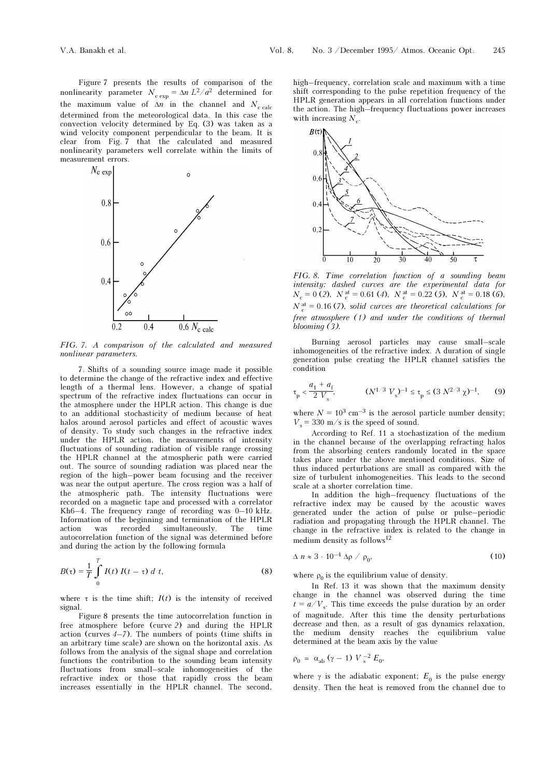Figure 7 presents the results of comparison of the nonlinearity parameter  $N_{\text{c exp}} = \Delta n L^2/a^2$  determined for the maximum value of  $\Delta n$  in the channel and  $N_{c \text{ calc}}$ determined from the meteorological data. In this case the convection velocity determined by Eq. (3) was taken as a wind velocity component perpendicular to the beam. It is clear from Fig. 7 that the calculated and measured nonlinearity parameters well correlate within the limits of measurement errors.



FIG. 7. A comparison of the calculated and measured nonlinear parameters.

7. Shifts of a sounding source image made it possible to determine the change of the refractive index and effective length of a thermal lens. However, a change of spatial spectrum of the refractive index fluctuations can occur in the atmosphere under the HPLR action. This change is due to an additional stochasticity of medium because of heat halos around aerosol particles and effect of acoustic waves of density. To study such changes in the refractive index under the HPLR action, the measurements of intensity fluctuations of sounding radiation of visible range crossing the HPLR channel at the atmospheric path were carried out. The source of sounding radiation was placed near the region of the high–power beam focusing and the receiver was near the output aperture. The cross region was a half of the atmospheric path. The intensity fluctuations were recorded on a magnetic tape and processed with a correlator Kh6–4. The frequency range of recording was  $0-10$  kHz. Information of the beginning and termination of the HPLR action was recorded simultaneously. The time autocorrelation function of the signal was determined before and during the action by the following formula

$$
B(\tau) = \frac{1}{T} \int_{0}^{T} I(t) I(t - \tau) dt, \qquad (8)
$$

where  $\tau$  is the time shift;  $I(t)$  is the intensity of received signal.

Figure 8 presents the time autocorrelation function in free atmosphere before (curve 2) and during the HPLR action (curves  $4-7$ ). The numbers of points (time shifts in an arbitrary time scale) are shown on the horizontal axis. As follows from the analysis of the signal shape and correlation functions the contribution to the sounding beam intensity fluctuations from small–scale inhomogeneities of the refractive index or those that rapidly cross the beam increases essentially in the HPLR channel. The second, high–frequency, correlation scale and maximum with a time shift corresponding to the pulse repetition frequency of the HPLR generation appears in all correlation functions under the action. The high–frequency fluctuations power increases with increasing  $N_c$ .



FIG. 8. Time correlation function of a sounding beam intensity: dashed curves are the experimental data for  $N_c = 0$  (2),  $N_c^{at} = 0.61$  (4),  $N_c^{at} = 0.22$  (5),  $N_c^{at} = 0.18$  (6),  $N_c^{\text{at}} = 0.16$  (7), solid curves are theoretical calculations for free atmosphere (1) and under the conditions of thermal blooming (3).

Burning aerosol particles may cause small–scale inhomogeneities of the refractive index. A duration of single generation pulse creating the HPLR channel satisfies the condition

$$
\tau_p < \frac{a_1 + a_f}{2 V_s}
$$
,  $(N^{1/3} V_s)^{-1} \le \tau_p \le (3 N^{2/3} \chi)^{-1}$ , (9)

where  $N = 10^3$  cm<sup>-3</sup> is the aerosol particle number density;  $V_{\rm s}$  = 330 m/s is the speed of sound.

According to Ref. 11 a stochastization of the medium in the channel because of the overlapping refracting halos from the absorbing centers randomly located in the space takes place under the above mentioned conditions. Size of thus induced perturbations are small as compared with the size of turbulent inhomogeneities. This leads to the second scale at a shorter correlation time.

In addition the high–frequency fluctuations of the refractive index may be caused by the acoustic waves generated under the action of pulse or pulse–periodic radiation and propagating through the HPLR channel. The change in the refractive index is related to the change in medium density as follows<sup>12</sup>

$$
\Delta n \approx 3 \cdot 10^{-4} \Delta \rho / \rho_0, \qquad (10)
$$

where  $\rho_0$  is the equilibrium value of density.

In Ref. 13 it was shown that the maximum density change in the channel was observed during the time  $t = a/V<sub>s</sub>$ . This time exceeds the pulse duration by an order of magnitude. After this time the density perturbations decrease and then, as a result of gas dynamics relaxation, the medium density reaches the equilibrium value determined at the beam axis by the value

$$
\rho_0 \approx \alpha_{ab} \left( \gamma - 1 \right) V_s^{-2} E_0,
$$

where  $\gamma$  is the adiabatic exponent;  $E_0$  is the pulse energy density. Then the heat is removed from the channel due to